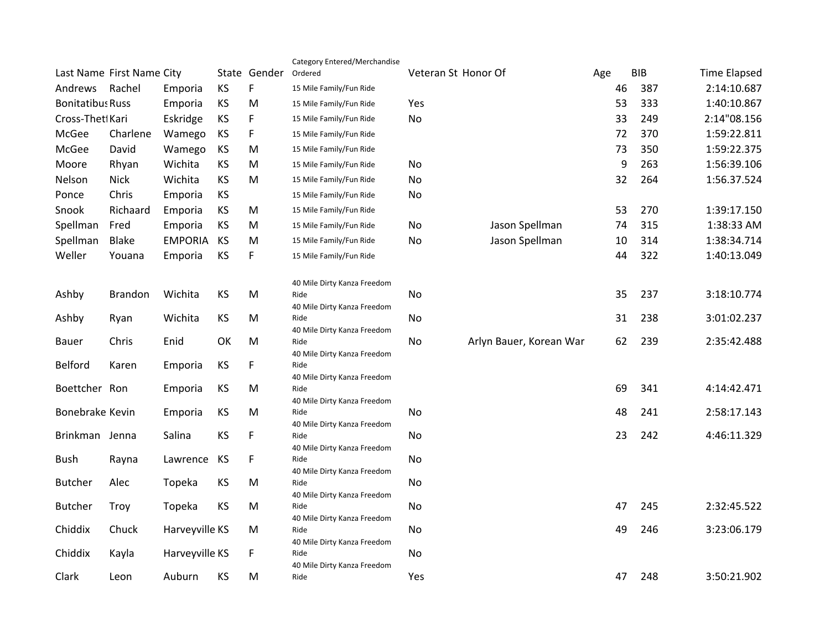|                           |                |                |              |         | Category Entered/Merchandise        |     |                         |            |                     |             |
|---------------------------|----------------|----------------|--------------|---------|-------------------------------------|-----|-------------------------|------------|---------------------|-------------|
| Last Name First Name City |                |                | State Gender | Ordered | Veteran St Honor Of                 |     | Age                     | <b>BIB</b> | <b>Time Elapsed</b> |             |
| Andrews                   | Rachel         | Emporia        | KS           | F       | 15 Mile Family/Fun Ride             |     |                         | 46         | 387                 | 2:14:10.687 |
| <b>Bonitatibus Russ</b>   |                | Emporia        | KS           | М       | 15 Mile Family/Fun Ride             | Yes |                         | 53         | 333                 | 1:40:10.867 |
| Cross-Thet Kari           |                | Eskridge       | <b>KS</b>    | F       | 15 Mile Family/Fun Ride             | No  |                         | 33         | 249                 | 2:14"08.156 |
| McGee                     | Charlene       | Wamego         | KS           | F       | 15 Mile Family/Fun Ride             |     |                         | 72         | 370                 | 1:59:22.811 |
| McGee                     | David          | Wamego         | KS           | M       | 15 Mile Family/Fun Ride             |     |                         | 73         | 350                 | 1:59:22.375 |
| Moore                     | Rhyan          | Wichita        | KS           | M       | 15 Mile Family/Fun Ride             | No  |                         | 9          | 263                 | 1:56:39.106 |
| Nelson                    | <b>Nick</b>    | Wichita        | KS           | M       | 15 Mile Family/Fun Ride             | No  |                         | 32         | 264                 | 1:56.37.524 |
| Ponce                     | Chris          | Emporia        | KS           |         | 15 Mile Family/Fun Ride             | No  |                         |            |                     |             |
| Snook                     | Richaard       | Emporia        | KS           | M       | 15 Mile Family/Fun Ride             |     |                         | 53         | 270                 | 1:39:17.150 |
| Spellman                  | Fred           | Emporia        | KS           | M       | 15 Mile Family/Fun Ride             | No  | Jason Spellman          | 74         | 315                 | 1:38:33 AM  |
| Spellman                  | <b>Blake</b>   | <b>EMPORIA</b> | KS           | M       | 15 Mile Family/Fun Ride             | No  | Jason Spellman          | 10         | 314                 | 1:38:34.714 |
| Weller                    | Youana         | Emporia        | KS           | F       | 15 Mile Family/Fun Ride             |     |                         | 44         | 322                 | 1:40:13.049 |
|                           |                |                |              |         | 40 Mile Dirty Kanza Freedom         |     |                         |            |                     |             |
| Ashby                     | <b>Brandon</b> | Wichita        | KS           | М       | Ride<br>40 Mile Dirty Kanza Freedom | No  |                         | 35         | 237                 | 3:18:10.774 |
| Ashby                     | Ryan           | Wichita        | KS           | M       | Ride                                | No  |                         | 31         | 238                 | 3:01:02.237 |
| Bauer                     | Chris          | Enid           | OK           | M       | 40 Mile Dirty Kanza Freedom<br>Ride | No  | Arlyn Bauer, Korean War | 62         | 239                 | 2:35:42.488 |
| Belford                   | Karen          | Emporia        | KS           | F       | 40 Mile Dirty Kanza Freedom<br>Ride |     |                         |            |                     |             |
|                           |                |                |              |         | 40 Mile Dirty Kanza Freedom         |     |                         |            |                     |             |
| Boettcher Ron             |                | Emporia        | KS           | M       | Ride<br>40 Mile Dirty Kanza Freedom |     |                         | 69         | 341                 | 4:14:42.471 |
| Bonebrake Kevin           |                | Emporia        | KS           | M       | Ride                                | No  |                         | 48         | 241                 | 2:58:17.143 |
|                           |                |                |              |         | 40 Mile Dirty Kanza Freedom         |     |                         |            |                     |             |
| Brinkman Jenna            |                | Salina         | KS           | F       | Ride                                | No  |                         | 23         | 242                 | 4:46:11.329 |
| Bush                      | Rayna          | Lawrence       | KS           | F       | 40 Mile Dirty Kanza Freedom<br>Ride | No  |                         |            |                     |             |
| <b>Butcher</b>            | Alec           | Topeka         | KS           | M       | 40 Mile Dirty Kanza Freedom<br>Ride | No  |                         |            |                     |             |
| <b>Butcher</b>            | Troy           | Topeka         | KS           | M       | 40 Mile Dirty Kanza Freedom<br>Ride | No  |                         | 47         | 245                 | 2:32:45.522 |
|                           |                |                |              |         | 40 Mile Dirty Kanza Freedom         |     |                         |            |                     |             |
| Chiddix                   | Chuck          | Harveyville KS |              | M       | Ride                                | No  |                         | 49         | 246                 | 3:23:06.179 |
| Chiddix                   | Kayla          | Harveyville KS |              | F       | 40 Mile Dirty Kanza Freedom<br>Ride | No  |                         |            |                     |             |
| Clark                     | Leon           | Auburn         | KS           | M       | 40 Mile Dirty Kanza Freedom<br>Ride | Yes |                         | 47         | 248                 | 3:50:21.902 |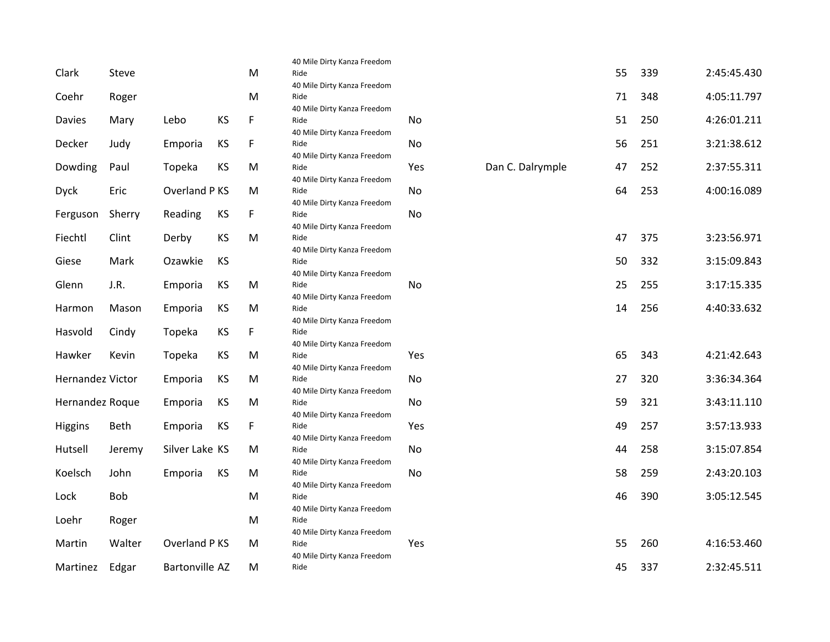|                  |        |                       |           |    | 40 Mile Dirty Kanza Freedom         |     |                  |    |     |             |
|------------------|--------|-----------------------|-----------|----|-------------------------------------|-----|------------------|----|-----|-------------|
| Clark            | Steve  |                       |           | M  | Ride                                |     |                  | 55 | 339 | 2:45:45.430 |
|                  |        |                       |           |    | 40 Mile Dirty Kanza Freedom         |     |                  |    |     |             |
| Coehr            | Roger  |                       |           | M  | Ride                                |     |                  | 71 | 348 | 4:05:11.797 |
|                  |        | Lebo                  | <b>KS</b> | F  | 40 Mile Dirty Kanza Freedom<br>Ride |     |                  | 51 | 250 | 4:26:01.211 |
| Davies           | Mary   |                       |           |    | 40 Mile Dirty Kanza Freedom         | No  |                  |    |     |             |
| Decker           | Judy   | Emporia               | <b>KS</b> | F  | Ride                                | No  |                  | 56 | 251 | 3:21:38.612 |
|                  |        |                       |           |    | 40 Mile Dirty Kanza Freedom         |     |                  |    |     |             |
| Dowding          | Paul   | Topeka                | KS        | M  | Ride                                | Yes | Dan C. Dalrymple | 47 | 252 | 2:37:55.311 |
|                  |        |                       |           |    | 40 Mile Dirty Kanza Freedom         |     |                  |    |     |             |
| <b>Dyck</b>      | Eric   | Overland P KS         |           | M  | Ride                                | No  |                  | 64 | 253 | 4:00:16.089 |
|                  |        |                       |           |    | 40 Mile Dirty Kanza Freedom         |     |                  |    |     |             |
| Ferguson         | Sherry | Reading               | KS        | F  | Ride<br>40 Mile Dirty Kanza Freedom | No  |                  |    |     |             |
| Fiechtl          | Clint  | Derby                 | <b>KS</b> | M  | Ride                                |     |                  | 47 | 375 | 3:23:56.971 |
|                  |        |                       |           |    | 40 Mile Dirty Kanza Freedom         |     |                  |    |     |             |
| Giese            | Mark   | Ozawkie               | <b>KS</b> |    | Ride                                |     |                  | 50 | 332 | 3:15:09.843 |
|                  |        |                       |           |    | 40 Mile Dirty Kanza Freedom         |     |                  |    |     |             |
| Glenn            | J.R.   | Emporia               | KS        | M  | Ride                                | No  |                  | 25 | 255 | 3:17:15.335 |
| Harmon           | Mason  | Emporia               | KS        | M  | 40 Mile Dirty Kanza Freedom<br>Ride |     |                  | 14 | 256 | 4:40:33.632 |
|                  |        |                       |           |    | 40 Mile Dirty Kanza Freedom         |     |                  |    |     |             |
| Hasvold          | Cindy  | Topeka                | <b>KS</b> | F  | Ride                                |     |                  |    |     |             |
|                  |        |                       |           |    | 40 Mile Dirty Kanza Freedom         |     |                  |    |     |             |
| Hawker           | Kevin  | Topeka                | <b>KS</b> | M  | Ride                                | Yes |                  | 65 | 343 | 4:21:42.643 |
|                  |        |                       |           |    | 40 Mile Dirty Kanza Freedom         |     |                  |    |     |             |
| Hernandez Victor |        | Emporia               | KS        | M  | Ride                                | No  |                  | 27 | 320 | 3:36:34.364 |
| Hernandez Roque  |        | Emporia               | KS        | M  | 40 Mile Dirty Kanza Freedom<br>Ride | No  |                  | 59 | 321 | 3:43:11.110 |
|                  |        |                       |           |    | 40 Mile Dirty Kanza Freedom         |     |                  |    |     |             |
| Higgins          | Beth   | Emporia               | KS        | F. | Ride                                | Yes |                  | 49 | 257 | 3:57:13.933 |
|                  |        |                       |           |    | 40 Mile Dirty Kanza Freedom         |     |                  |    |     |             |
| Hutsell          | Jeremy | Silver Lake KS        |           | M  | Ride                                | No  |                  | 44 | 258 | 3:15:07.854 |
|                  |        |                       |           |    | 40 Mile Dirty Kanza Freedom         |     |                  |    |     |             |
| Koelsch          | John   | Emporia               | KS        | M  | Ride<br>40 Mile Dirty Kanza Freedom | No  |                  | 58 | 259 | 2:43:20.103 |
| Lock             | Bob    |                       |           | M  | Ride                                |     |                  | 46 | 390 | 3:05:12.545 |
|                  |        |                       |           |    | 40 Mile Dirty Kanza Freedom         |     |                  |    |     |             |
| Loehr            | Roger  |                       |           | M  | Ride                                |     |                  |    |     |             |
|                  |        |                       |           |    | 40 Mile Dirty Kanza Freedom         |     |                  |    |     |             |
| Martin           | Walter | Overland P KS         |           | M  | Ride                                | Yes |                  | 55 | 260 | 4:16:53.460 |
|                  |        | <b>Bartonville AZ</b> |           |    | 40 Mile Dirty Kanza Freedom         |     |                  | 45 | 337 | 2:32:45.511 |
| Martinez         | Edgar  |                       |           | M  | Ride                                |     |                  |    |     |             |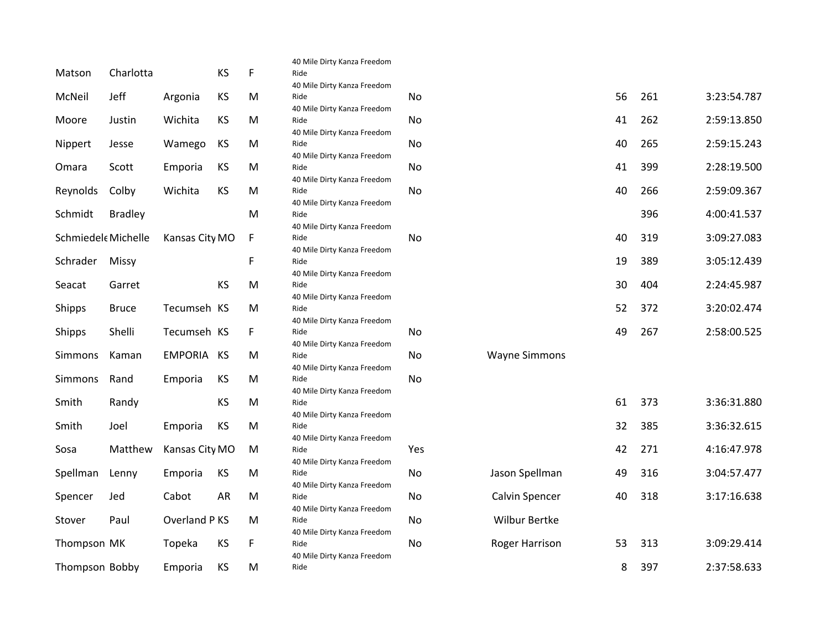|                    |                |                   |           |    | 40 Mile Dirty Kanza Freedom         |     |                      |    |     |             |
|--------------------|----------------|-------------------|-----------|----|-------------------------------------|-----|----------------------|----|-----|-------------|
| Matson             | Charlotta      |                   | KS        | F  | Ride                                |     |                      |    |     |             |
|                    |                |                   |           |    | 40 Mile Dirty Kanza Freedom         |     |                      |    |     |             |
| McNeil             | Jeff           | Argonia           | KS        | M  | Ride                                | No  |                      | 56 | 261 | 3:23:54.787 |
|                    |                |                   |           |    | 40 Mile Dirty Kanza Freedom         |     |                      | 41 | 262 |             |
| Moore              | Justin         | Wichita           | KS        | M  | Ride                                | No  |                      |    |     | 2:59:13.850 |
| Nippert            | Jesse          | Wamego            | KS        | M  | 40 Mile Dirty Kanza Freedom<br>Ride | No  |                      | 40 | 265 | 2:59:15.243 |
|                    |                |                   |           |    |                                     |     |                      |    |     |             |
| Omara              | Scott          | Emporia           | <b>KS</b> | M  | 40 Mile Dirty Kanza Freedom<br>Ride | No  |                      | 41 | 399 | 2:28:19.500 |
|                    |                |                   |           |    | 40 Mile Dirty Kanza Freedom         |     |                      |    |     |             |
| Reynolds           | Colby          | Wichita           | KS        | M  | Ride                                | No  |                      | 40 | 266 | 2:59:09.367 |
|                    |                |                   |           |    | 40 Mile Dirty Kanza Freedom         |     |                      |    |     |             |
| Schmidt            | <b>Bradley</b> |                   |           | M  | Ride                                |     |                      |    | 396 | 4:00:41.537 |
|                    |                |                   |           |    | 40 Mile Dirty Kanza Freedom         |     |                      |    |     |             |
| Schmiedel Michelle |                | Kansas City MO    |           | F  | Ride                                | No  |                      | 40 | 319 | 3:09:27.083 |
|                    |                |                   |           |    | 40 Mile Dirty Kanza Freedom         |     |                      |    |     |             |
| Schrader           | Missy          |                   |           | F  | Ride                                |     |                      | 19 | 389 | 3:05:12.439 |
|                    |                |                   |           |    | 40 Mile Dirty Kanza Freedom         |     |                      |    |     |             |
| Seacat             | Garret         |                   | <b>KS</b> | M  | Ride                                |     |                      | 30 | 404 | 2:24:45.987 |
|                    |                |                   |           |    | 40 Mile Dirty Kanza Freedom         |     |                      |    |     |             |
| Shipps             | <b>Bruce</b>   | Tecumseh KS       |           | M  | Ride                                |     |                      | 52 | 372 | 3:20:02.474 |
|                    |                |                   |           |    | 40 Mile Dirty Kanza Freedom         |     |                      |    |     |             |
| Shipps             | Shelli         | Tecumseh KS       |           | F. | Ride                                | No  |                      | 49 | 267 | 2:58:00.525 |
|                    |                |                   |           |    | 40 Mile Dirty Kanza Freedom         |     |                      |    |     |             |
| Simmons            | Kaman          | <b>EMPORIA KS</b> |           | M  | Ride                                | No  | <b>Wayne Simmons</b> |    |     |             |
|                    |                |                   |           |    | 40 Mile Dirty Kanza Freedom         |     |                      |    |     |             |
| Simmons            | Rand           | Emporia           | KS        | M  | Ride                                | No  |                      |    |     |             |
|                    |                |                   |           |    | 40 Mile Dirty Kanza Freedom         |     |                      |    |     |             |
| Smith              | Randy          |                   | KS        | M  | Ride                                |     |                      | 61 | 373 | 3:36:31.880 |
|                    |                |                   |           |    | 40 Mile Dirty Kanza Freedom         |     |                      |    |     |             |
| Smith              | Joel           | Emporia           | KS        | M  | Ride                                |     |                      | 32 | 385 | 3:36:32.615 |
|                    |                |                   |           |    | 40 Mile Dirty Kanza Freedom         |     |                      |    |     |             |
| Sosa               | Matthew        | Kansas City MO    |           | M  | Ride                                | Yes |                      | 42 | 271 | 4:16:47.978 |
|                    |                |                   |           |    | 40 Mile Dirty Kanza Freedom         |     |                      |    |     |             |
| Spellman           | Lenny          | Emporia           | KS        | M  | Ride                                | No  | Jason Spellman       | 49 | 316 | 3:04:57.477 |
|                    |                |                   |           |    | 40 Mile Dirty Kanza Freedom         |     |                      |    |     |             |
| Spencer            | Jed            | Cabot             | <b>AR</b> | M  | Ride                                | No  | Calvin Spencer       | 40 | 318 | 3:17:16.638 |
|                    |                |                   |           |    | 40 Mile Dirty Kanza Freedom         |     |                      |    |     |             |
| Stover             | Paul           | Overland P KS     |           | M  | Ride                                | No  | <b>Wilbur Bertke</b> |    |     |             |
|                    |                |                   |           |    | 40 Mile Dirty Kanza Freedom         |     |                      |    |     |             |
| Thompson MK        |                | Topeka            | KS        | F  | Ride                                | No  | Roger Harrison       | 53 | 313 | 3:09:29.414 |
|                    |                |                   |           |    | 40 Mile Dirty Kanza Freedom         |     |                      |    |     |             |
| Thompson Bobby     |                | Emporia           | KS        | M  | Ride                                |     |                      | 8  | 397 | 2:37:58.633 |